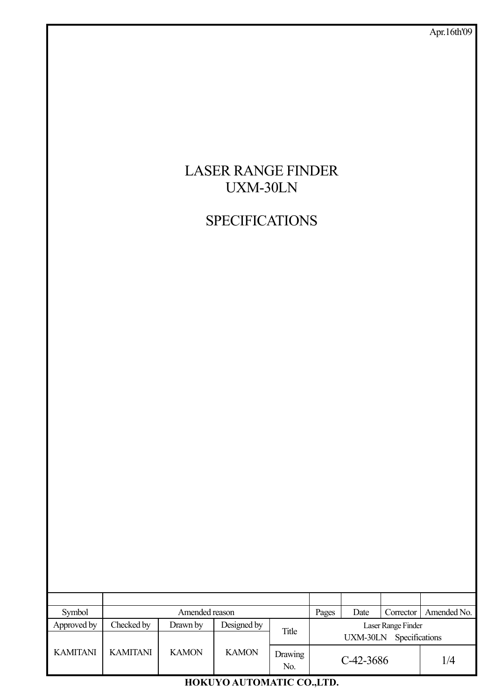

**SPECIFICATIONS** 

| Symbol          | Amended reason  |              |              | Pages                 | Date               | Corrector   | Amended No.    |                                       |  |
|-----------------|-----------------|--------------|--------------|-----------------------|--------------------|-------------|----------------|---------------------------------------|--|
| Approved by     | Checked by      | Drawn by     | Designed by  | Title                 | Laser Range Finder |             |                |                                       |  |
|                 |                 |              |              |                       |                    | UXM-30LN    | Specifications |                                       |  |
| <b>KAMITANI</b> | <b>KAMITANI</b> | <b>KAMON</b> | <b>KAMON</b> | <b>Drawing</b><br>No. |                    | $C-42-3686$ |                | $1\mskip 1.5mu\text{/}\mskip 1.5mu 4$ |  |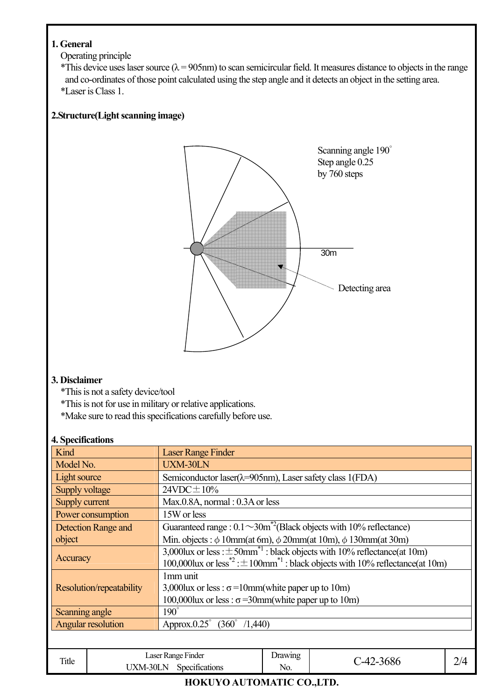## **1. General**

Operating principle

\*This device uses laser source ( $\lambda$  = 905nm) to scan semicircular field. It measures distance to objects in the range and co-ordinates of those point calculated using the step angle and it detects an object in the setting area. \*Laser is Class 1.

## **2.Structure(Light scanning image)**



### **3. Disclaimer**

\*This is not a safety device/tool

\*This is not for use in military or relative applications.

\*Make sure to read this specifications carefully before use.

#### **4. Specifications**

| Kind                      | <b>Laser Range Finder</b>                                                                                                                                                                             |
|---------------------------|-------------------------------------------------------------------------------------------------------------------------------------------------------------------------------------------------------|
| Model No.                 | <b>UXM-30LN</b>                                                                                                                                                                                       |
| Light source              | Semiconductor laser(λ=905nm), Laser safety class 1(FDA)                                                                                                                                               |
| Supply voltage            | $24VDC \pm 10\%$                                                                                                                                                                                      |
| Supply current            | $Max.0.8A$ , normal : 0.3A or less                                                                                                                                                                    |
| Power consumption         | 15W or less                                                                                                                                                                                           |
| Detection Range and       | Guaranteed range : $0.1 \sim 30 \text{m}^2$ (Black objects with 10% reflectance)                                                                                                                      |
| object                    | Min. objects : $\phi$ 10mm(at 6m), $\phi$ 20mm(at 10m), $\phi$ 130mm(at 30m)                                                                                                                          |
| Accuracy                  | 3,000lux or less : $\pm$ 50mm <sup>*1</sup> : black objects with 10% reflectance(at 10m)<br>100,000lux or less <sup>*2</sup> : $\pm$ 100mm <sup>*1</sup> : black objects with 10% reflectance(at 10m) |
| Resolution/repeatability  | 1mm unit<br>3,000 lux or less : $\sigma$ = 10 mm (white paper up to 10 m)<br>100,000lux or less : $\sigma$ =30mm(white paper up to 10m)                                                               |
| Scanning angle            | $190^\circ$                                                                                                                                                                                           |
| <b>Angular resolution</b> | Approx.0.25° (360° /1,440)                                                                                                                                                                            |
|                           |                                                                                                                                                                                                       |

| Title | Laser Range Finder<br>$\sim$<br>JXM-30LN<br>Specifications | Drawing<br>No. | $\Lambda$<br><b>JOU</b> | $\sqrt{4}$<br>سم |
|-------|------------------------------------------------------------|----------------|-------------------------|------------------|
|       |                                                            |                |                         |                  |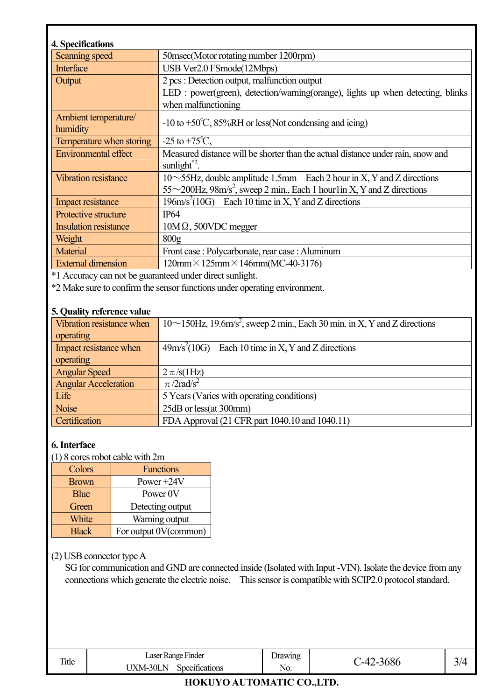| 4. Specifications                |                                                                                                                                                                        |
|----------------------------------|------------------------------------------------------------------------------------------------------------------------------------------------------------------------|
| Scanning speed                   | 50msec(Motor rotating number 1200rpm)                                                                                                                                  |
| Interface                        | USB Ver2.0 FSmode(12Mbps)                                                                                                                                              |
| Output                           | 2 pcs : Detection output, malfunction output                                                                                                                           |
|                                  | LED : power(green), detection/warning(orange), lights up when detecting, blinks<br>when malfunctioning                                                                 |
| Ambient temperature/<br>humidity | $-10$ to $+50^{\circ}$ C, 85%RH or less (Not condensing and icing)                                                                                                     |
| Temperature when storing         | $-25$ to $+75^{\circ}$ C,                                                                                                                                              |
| <b>Environmental effect</b>      | Measured distance will be shorter than the actual distance under rain, snow and<br>sunlight $^{*2}$ .                                                                  |
| <b>Vibration resistance</b>      | $10\sim$ 55Hz, double amplitude 1.5mm Each 2 hour in X, Y and Z directions<br>$55\sim$ 200Hz, 98m/s <sup>2</sup> , sweep 2 min., Each 1 hour lin X, Y and Z directions |
| Impact resistance                | $196 \text{m/s}^2 (10 \text{G})$ Each 10 time in X, Y and Z directions                                                                                                 |
| Protective structure             | IP64                                                                                                                                                                   |
| <b>Insulation resistance</b>     | $10M\Omega$ , 500VDC megger                                                                                                                                            |
| Weight                           | 800 <sub>g</sub>                                                                                                                                                       |
| <b>Material</b>                  | Front case: Polycarbonate, rear case: Aluminum                                                                                                                         |
| <b>External dimension</b>        | $120$ mm $\times$ 125mm $\times$ 146mm(MC-40-3176)                                                                                                                     |

\*1 Accuracy can not be guaranteed under direct sunlight.

\*2 Make sure to confirm the sensor functions under operating environment.

#### **5. Quality reference value**

| Vibration resistance when   | $10 \sim 150$ Hz, 19.6m/s <sup>2</sup> , sweep 2 min., Each 30 min. in X, Y and Z directions |
|-----------------------------|----------------------------------------------------------------------------------------------|
| operating                   |                                                                                              |
| Impact resistance when      | $49m/s2(10G)$ Each 10 time in X, Y and Z directions                                          |
| operating                   |                                                                                              |
| <b>Angular Speed</b>        | $2 \pi$ /s(1Hz)                                                                              |
| <b>Angular Acceleration</b> | $\pi$ /2rad/s <sup>2</sup>                                                                   |
| Life                        | 5 Years (Varies with operating conditions)                                                   |
| <b>Noise</b>                | 25dB or less(at 300mm)                                                                       |
| Certification               | FDA Approval (21 CFR part 1040.10 and 1040.11)                                               |

#### **6. Interface**

(1) 8 cores robot cable with 2m

| Colors       | <b>Functions</b>      |
|--------------|-----------------------|
| <b>Brown</b> | Power $+24V$          |
| <b>Blue</b>  | Power 0V              |
| Green        | Detecting output      |
| White        | Warning output        |
| <b>Black</b> | For output 0V(common) |

#### (2) USB connector type A

SG for communication and GND are connected inside (Isolated with Input -VIN). Isolate the device from any connections which generate the electric noise. This sensor is compatible with SCIP2.0 protocol standard.

| <b>STORY</b><br>1 itle | $\mathbf{r}$<br>. Finder<br>Laser<br>Range       | rawıng |           |                          |
|------------------------|--------------------------------------------------|--------|-----------|--------------------------|
|                        | $\sim$<br><b>IXM-30L</b><br>N.<br>specifications | NO.    | vov<br>'' | $\overline{\phantom{a}}$ |